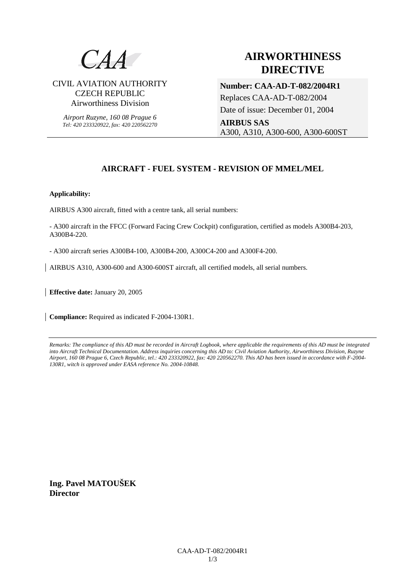

### CIVIL AVIATION AUTHORITY CZECH REPUBLIC Airworthiness Division

*Airport Ruzyne, 160 08 Prague 6 Tel: 420 233320922, fax: 420 220562270*

# **AIRWORTHINESS DIRECTIVE**

**Number: CAA-AD-T-082/2004R1**  Replaces CAA-AD-T-082/2004 Date of issue: December 01, 2004 **AIRBUS SAS** A300, A310, A300-600, A300-600ST

## **AIRCRAFT - FUEL SYSTEM - REVISION OF MMEL/MEL**

#### **Applicability:**

AIRBUS A300 aircraft, fitted with a centre tank, all serial numbers:

- A300 aircraft in the FFCC (Forward Facing Crew Cockpit) configuration, certified as models A300B4-203, A300B4-220.

- A300 aircraft series A300B4-100, A300B4-200, A300C4-200 and A300F4-200.

AIRBUS A310, A300-600 and A300-600ST aircraft, all certified models, all serial numbers.

**Effective date:** January 20, 2005

**Compliance:** Required as indicated F-2004-130R1.

*Remarks: The compliance of this AD must be recorded in Aircraft Logbook, where applicable the requirements of this AD must be integrated into Aircraft Technical Documentation. Address inquiries concerning this AD to: Civil Aviation Authority, Airworthiness Division, Ruzyne Airport, 160 08 Prague 6, Czech Republic, tel.: 420 233320922, fax: 420 220562270. This AD has been issued in accordance with F-2004- 130R1, witch is approved under EASA reference No. 2004-10848.* 

**Ing. Pavel MATOUŠEK Director**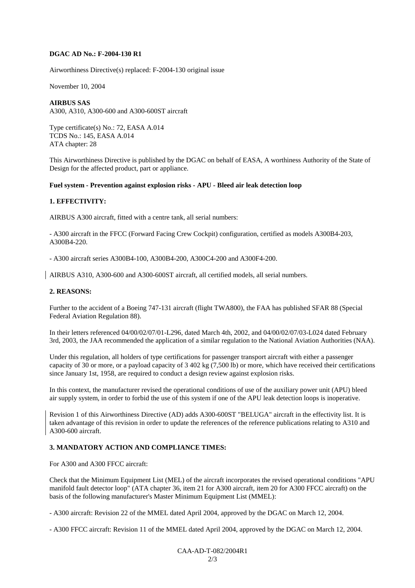#### **DGAC AD No.: F-2004-130 R1**

Airworthiness Directive(s) replaced: F-2004-130 original issue

November 10, 2004

#### **AIRBUS SAS**

A300, A310, A300-600 and A300-600ST aircraft

Type certificate(s) No.: 72, EASA A.014 TCDS No.: 145, EASA A.014 ATA chapter: 28

This Airworthiness Directive is published by the DGAC on behalf of EASA, A worthiness Authority of the State of Design for the affected product, part or appliance.

#### **Fuel system - Prevention against explosion risks - APU - Bleed air leak detection loop**

#### **1. EFFECTIVITY:**

AIRBUS A300 aircraft, fitted with a centre tank, all serial numbers:

- A300 aircraft in the FFCC (Forward Facing Crew Cockpit) configuration, certified as models A300B4-203, A300B4-220.

- A300 aircraft series A300B4-100, A300B4-200, A300C4-200 and A300F4-200.

AIRBUS A310, A300-600 and A300-600ST aircraft, all certified models, all serial numbers.

#### **2. REASONS:**

Further to the accident of a Boeing 747-131 aircraft (flight TWA800), the FAA has published SFAR 88 (Special Federal Aviation Regulation 88).

In their letters referenced 04/00/02/07/01-L296, dated March 4th, 2002, and 04/00/02/07/03-L024 dated February 3rd, 2003, the JAA recommended the application of a similar regulation to the National Aviation Authorities (NAA).

Under this regulation, all holders of type certifications for passenger transport aircraft with either a passenger capacity of 30 or more, or a payload capacity of 3 402 kg (7,500 lb) or more, which have received their certifications since January 1st, 1958, are required to conduct a design review against explosion risks.

In this context, the manufacturer revised the operational conditions of use of the auxiliary power unit (APU) bleed air supply system, in order to forbid the use of this system if one of the APU leak detection loops is inoperative.

Revision 1 of this Airworthiness Directive (AD) adds A300-600ST "BELUGA" aircraft in the effectivity list. It is taken advantage of this revision in order to update the references of the reference publications relating to A310 and A300-600 aircraft.

#### **3. MANDATORY ACTION AND COMPLIANCE TIMES:**

For A300 and A300 FFCC aircraft:

Check that the Minimum Equipment List (MEL) of the aircraft incorporates the revised operational conditions "APU manifold fault detector loop" (ATA chapter 36, item 21 for A300 aircraft, item 20 for A300 FFCC aircraft) on the basis of the following manufacturer's Master Minimum Equipment List (MMEL):

- A300 aircraft: Revision 22 of the MMEL dated April 2004, approved by the DGAC on March 12, 2004.

- A300 FFCC aircraft: Revision 11 of the MMEL dated April 2004, approved by the DGAC on March 12, 2004.